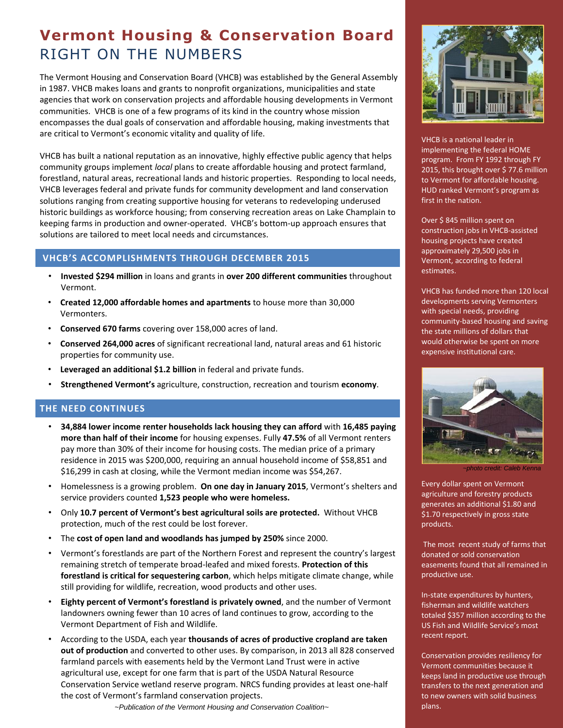## **Vermont Housing & Conservation Board** RIGHT ON THE NUMBERS

The Vermont Housing and Conservation Board (VHCB) was established by the General Assembly in 1987. VHCB makes loans and grants to nonprofit organizations, municipalities and state agencies that work on conservation projects and affordable housing developments in Vermont communities. VHCB is one of a few programs of its kind in the country whose mission encompasses the dual goals of conservation and affordable housing, making investments that are critical to Vermont's economic vitality and quality of life.

VHCB has built a national reputation as an innovative, highly effective public agency that helps community groups implement *local* plans to create affordable housing and protect farmland, forestland, natural areas, recreational lands and historic properties. Responding to local needs, VHCB leverages federal and private funds for community development and land conservation solutions ranging from creating supportive housing for veterans to redeveloping underused historic buildings as workforce housing; from conserving recreation areas on Lake Champlain to keeping farms in production and owner-operated. VHCB's bottom-up approach ensures that solutions are tailored to meet local needs and circumstances.

## **VHCB'S ACCOMPLISHMENTS THROUGH DECEMBER 2015**

- **Invested \$294 million** in loans and grants in **over 200 different communities** throughout Vermont.
- **Created 12,000 affordable homes and apartments** to house more than 30,000 Vermonters.
- **Conserved 670 farms** covering over 158,000 acres of land.
- **Conserved 264,000 acres** of significant recreational land, natural areas and 61 historic properties for community use.
- **Leveraged an additional \$1.2 billion** in federal and private funds.
- **Strengthened Vermont's** agriculture, construction, recreation and tourism **economy**.

## **THE NEED CONTINUES**

- **34,884 lower income renter households lack housing they can afford** with **16,485 paying more than half of their income** for housing expenses. Fully **47.5%** of all Vermont renters pay more than 30% of their income for housing costs. The median price of a primary residence in 2015 was \$200,000, requiring an annual household income of \$58,851 and \$16,299 in cash at closing, while the Vermont median income was \$54,267.
- Homelessness is a growing problem. **On one day in January 2015**, Vermont's shelters and service providers counted **1,523 people who were homeless.**
- Only **10.7 percent of Vermont's best agricultural soils are protected.** Without VHCB protection, much of the rest could be lost forever.
- The **cost of open land and woodlands has jumped by 250%** since 2000.
- Vermont's forestlands are part of the Northern Forest and represent the country's largest remaining stretch of temperate broad-leafed and mixed forests. **Protection of this forestland is critical for sequestering carbon**, which helps mitigate climate change, while still providing for wildlife, recreation, wood products and other uses.
- **Eighty percent of Vermont's forestland is privately owned**, and the number of Vermont landowners owning fewer than 10 acres of land continues to grow, according to the Vermont Department of Fish and Wildlife.
- According to the USDA, each year **thousands of acres of productive cropland are taken out of production** and converted to other uses. By comparison, in 2013 all 828 conserved farmland parcels with easements held by the Vermont Land Trust were in active agricultural use, except for one farm that is part of the USDA Natural Resource Conservation Service wetland reserve program. NRCS funding provides at least one-half the cost of Vermont's farmland conservation projects.

*~Publication of the Vermont Housing and Conservation Coalition~*



VHCB is a national leader in implementing the federal HOME program. From FY 1992 through FY 2015, this brought over \$ 77.6 million to Vermont for affordable housing. HUD ranked Vermont's program as first in the nation.

Over \$ 845 million spent on construction jobs in VHCB-assisted housing projects have created approximately 29,500 jobs in Vermont, according to federal estimates.

VHCB has funded more than 120 local developments serving Vermonters with special needs, providing community-based housing and saving the state millions of dollars that would otherwise be spent on more expensive institutional care.



*~photo credit: Caleb Kenna*

Every dollar spent on Vermont agriculture and forestry products generates an additional \$1.80 and \$1.70 respectively in gross state products.

The most recent study of farms that donated or sold conservation easements found that all remained in productive use.

In-state expenditures by hunters, fisherman and wildlife watchers totaled \$357 million according to the US Fish and Wildlife Service's most recent report.

Conservation provides resiliency for Vermont communities because it keeps land in productive use through transfers to the next generation and to new owners with solid business plans.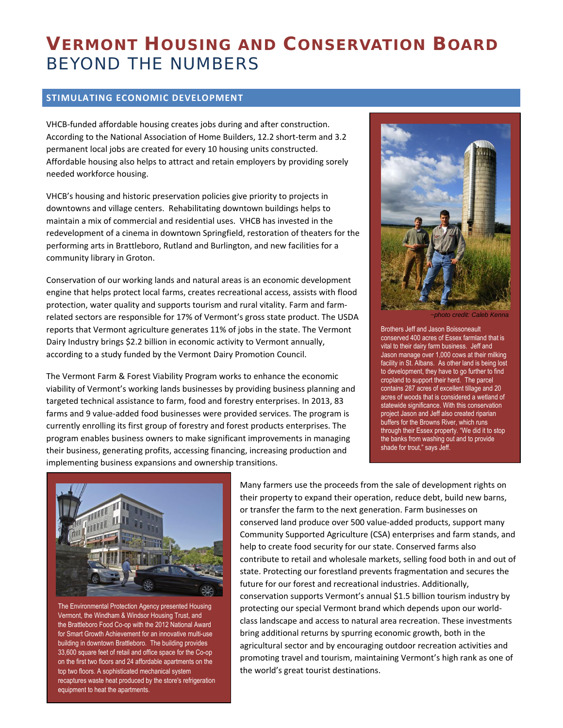# **VERMONT HOUSING AND CONSERVATION BOARD** BEYOND THE NUMBERS

#### **STIMULATING ECONOMIC DEVELOPMENT**

VHCB-funded affordable housing creates jobs during and after construction. According to the National Association of Home Builders, 12.2 short-term and 3.2 permanent local jobs are created for every 10 housing units constructed. Affordable housing also helps to attract and retain employers by providing sorely needed workforce housing.

VHCB's housing and historic preservation policies give priority to projects in downtowns and village centers. Rehabilitating downtown buildings helps to maintain a mix of commercial and residential uses. VHCB has invested in the redevelopment of a cinema in downtown Springfield, restoration of theaters for the performing arts in Brattleboro, Rutland and Burlington, and new facilities for a community library in Groton.

Conservation of our working lands and natural areas is an economic development engine that helps protect local farms, creates recreational access, assists with flood protection, water quality and supports tourism and rural vitality. Farm and farmrelated sectors are responsible for 17% of Vermont's gross state product. The USDA reports that Vermont agriculture generates 11% of jobs in the state. The Vermont Dairy Industry brings \$2.2 billion in economic activity to Vermont annually, according to a study funded by the Vermont Dairy Promotion Council.

The Vermont Farm & Forest Viability Program works to enhance the economic viability of Vermont's working lands businesses by providing business planning and targeted technical assistance to farm, food and forestry enterprises. In 2013, 83 farms and 9 value-added food businesses were provided services. The program is currently enrolling its first group of forestry and forest products enterprises. The program enables business owners to make significant improvements in managing their business, generating profits, accessing financing, increasing production and implementing business expansions and ownership transitions.



*~photo credit: Caleb Kenna*

Brothers Jeff and Jason Boissoneault conserved 400 acres of Essex farmland that is vital to their dairy farm business. Jeff and Jason manage over 1,000 cows at their milking facility in St. Albans. As other land is being lost to development, they have to go further to find cropland to support their herd. The parcel contains 287 acres of excellent tillage and 20 acres of woods that is considered a wetland of statewide significance. With this conservation project Jason and Jeff also created riparian buffers for the Browns River, which runs through their Essex property. "We did it to stop the banks from washing out and to provide shade for trout," says Jeff.



The Environmental Protection Agency presented Housing Vermont, th[e Windham & Windsor Housing Trust,](http://r20.rs6.net/tn.jsp?e=001DYWXx7z7k56zwoqSmqgzjXyJ2wKiDJTGuHxBoNqxoG4P-m0ryj4VqnwS1QPD1gfrNZ60NlYY_yXxn1C15McqVeXPbvuqcRv34JtwwU2jwo4=) and the [Brattleboro Food Co-op](http://r20.rs6.net/tn.jsp?e=001DYWXx7z7k56zwoqSmqgzjXyJ2wKiDJTGuHxBoNqxoG4P-m0ryj4VqnwS1QPD1gfrNZ60NlYY_yXxn1C15McqVQ2No_Sx52wuiPosChIyyaVYP1JpmYVj7XoV_I1vAijF) with the 2012 National Award for Smart Growth Achievement for an innovative multi-use building in downtown Brattleboro. The building provides 33,600 square feet of retail and office space for the Co-op on the first two floors and 24 affordable apartments on the top two floors. A sophisticated mechanical system recaptures waste heat produced by the store's refrigeration equipment to heat the apartments.

Many farmers use the proceeds from the sale of development rights on their property to expand their operation, reduce debt, build new barns, or transfer the farm to the next generation. Farm businesses on conserved land produce over 500 value-added products, support many Community Supported Agriculture (CSA) enterprises and farm stands, and help to create food security for our state. Conserved farms also contribute to retail and wholesale markets, selling food both in and out of state. Protecting our forestland prevents fragmentation and secures the future for our forest and recreational industries. Additionally, conservation supports Vermont's annual \$1.5 billion tourism industry by protecting our special Vermont brand which depends upon our worldclass landscape and access to natural area recreation. These investments bring additional returns by spurring economic growth, both in the agricultural sector and by encouraging outdoor recreation activities and promoting travel and tourism, maintaining Vermont's high rank as one of the world's great tourist destinations.